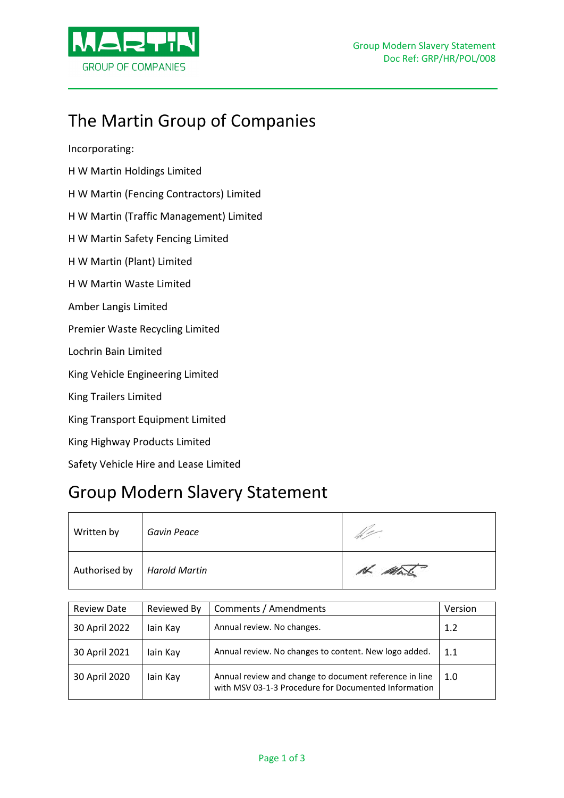

# The Martin Group of Companies

Incorporating:

- H W Martin Holdings Limited
- H W Martin (Fencing Contractors) Limited
- H W Martin (Traffic Management) Limited
- H W Martin Safety Fencing Limited
- H W Martin (Plant) Limited
- H W Martin Waste Limited
- Amber Langis Limited
- Premier Waste Recycling Limited
- Lochrin Bain Limited
- King Vehicle Engineering Limited
- King Trailers Limited
- King Transport Equipment Limited
- King Highway Products Limited
- Safety Vehicle Hire and Lease Limited

## Group Modern Slavery Statement

| Written by                    | Gavin Peace |        |
|-------------------------------|-------------|--------|
| Authorised by   Harold Martin |             | H Mark |

| <b>Review Date</b> | Reviewed By | Comments / Amendments                                                                                          | Version |
|--------------------|-------------|----------------------------------------------------------------------------------------------------------------|---------|
| 30 April 2022      | lain Kay    | Annual review. No changes.                                                                                     | 1.2     |
| 30 April 2021      | lain Kay    | Annual review. No changes to content. New logo added.                                                          | 1.1     |
| 30 April 2020      | lain Kay    | Annual review and change to document reference in line<br>with MSV 03-1-3 Procedure for Documented Information | 1.0     |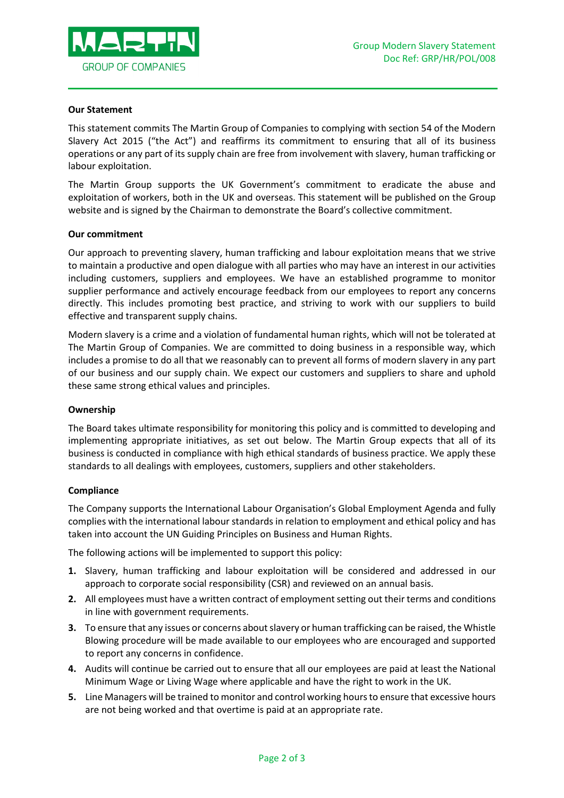

#### **Our Statement**

This statement commits The Martin Group of Companies to complying with section 54 of the Modern Slavery Act 2015 ("the Act") and reaffirms its commitment to ensuring that all of its business operations or any part of its supply chain are free from involvement with slavery, human trafficking or labour exploitation.

The Martin Group supports the UK Government's commitment to eradicate the abuse and exploitation of workers, both in the UK and overseas. This statement will be published on the Group website and is signed by the Chairman to demonstrate the Board's collective commitment.

#### **Our commitment**

Our approach to preventing slavery, human trafficking and labour exploitation means that we strive to maintain a productive and open dialogue with all parties who may have an interest in our activities including customers, suppliers and employees. We have an established programme to monitor supplier performance and actively encourage feedback from our employees to report any concerns directly. This includes promoting best practice, and striving to work with our suppliers to build effective and transparent supply chains.

Modern slavery is a crime and a violation of fundamental human rights, which will not be tolerated at The Martin Group of Companies. We are committed to doing business in a responsible way, which includes a promise to do all that we reasonably can to prevent all forms of modern slavery in any part of our business and our supply chain. We expect our customers and suppliers to share and uphold these same strong ethical values and principles.

### **Ownership**

The Board takes ultimate responsibility for monitoring this policy and is committed to developing and implementing appropriate initiatives, as set out below. The Martin Group expects that all of its business is conducted in compliance with high ethical standards of business practice. We apply these standards to all dealings with employees, customers, suppliers and other stakeholders.

### **Compliance**

The Company supports the International Labour Organisation's Global Employment Agenda and fully complies with the international labour standards in relation to employment and ethical policy and has taken into account the UN Guiding Principles on Business and Human Rights.

The following actions will be implemented to support this policy:

- **1.** Slavery, human trafficking and labour exploitation will be considered and addressed in our approach to corporate social responsibility (CSR) and reviewed on an annual basis.
- **2.** All employees must have a written contract of employment setting out their terms and conditions in line with government requirements.
- **3.** To ensure that any issues or concerns about slavery or human trafficking can be raised, the Whistle Blowing procedure will be made available to our employees who are encouraged and supported to report any concerns in confidence.
- **4.** Audits will continue be carried out to ensure that all our employees are paid at least the National Minimum Wage or Living Wage where applicable and have the right to work in the UK.
- **5.** Line Managers will be trained to monitor and control working hours to ensure that excessive hours are not being worked and that overtime is paid at an appropriate rate.